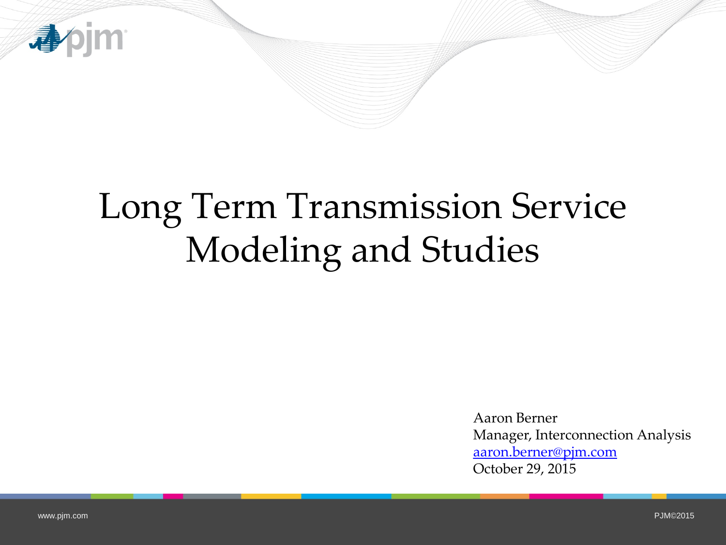

# Long Term Transmission Service Modeling and Studies

Aaron Berner Manager, Interconnection Analysis [aaron.berner@pjm.com](mailto:aaron.berner@pjm.com) October 29, 2015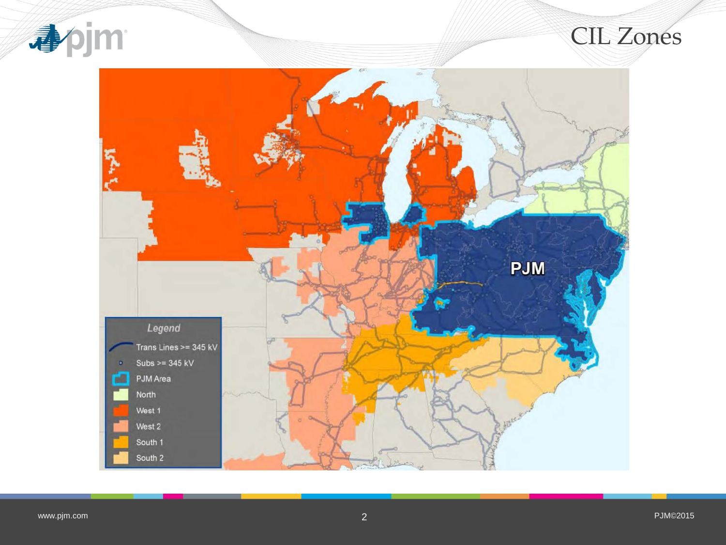

#### CIL Zones

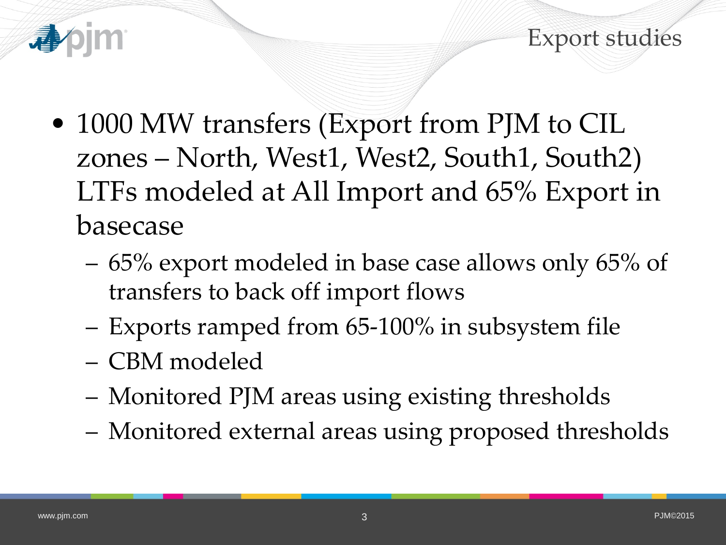



- 1000 MW transfers (Export from PJM to CIL zones – North, West1, West2, South1, South2) LTFs modeled at All Import and 65% Export in basecase
	- 65% export modeled in base case allows only 65% of transfers to back off import flows
	- Exports ramped from 65-100% in subsystem file
	- CBM modeled
	- Monitored PJM areas using existing thresholds
	- Monitored external areas using proposed thresholds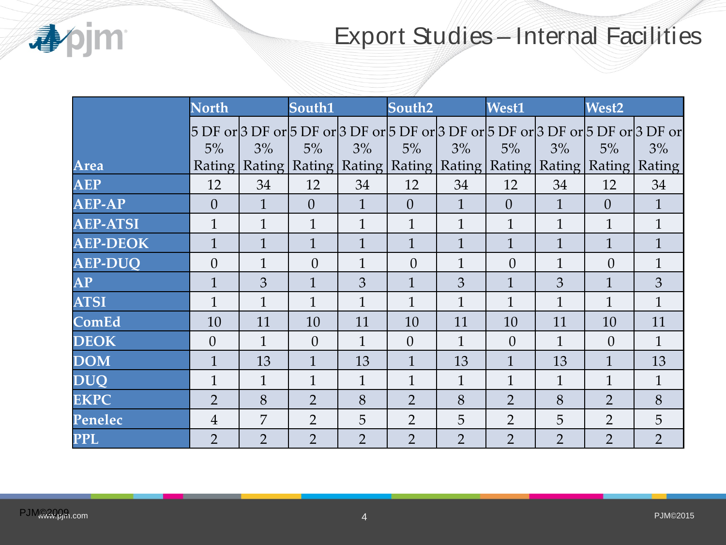

### Export Studies – Internal Facilities

|                 | <b>North</b>   |                | South1                                                                         |                | South <sub>2</sub> |                | West1          |                | West <sub>2</sub> |                                                                                        |
|-----------------|----------------|----------------|--------------------------------------------------------------------------------|----------------|--------------------|----------------|----------------|----------------|-------------------|----------------------------------------------------------------------------------------|
|                 | 5%             | 3%             | 5%                                                                             | 3%             | 5%                 | 3%             | 5%             | 3%             | 5%                | 5 DF or 3 DF or 5 DF or 3 DF or 5 DF or 3 DF or 5 DF or 3 DF or 5 DF or 3 DF or <br>3% |
| Area            | Rating         |                | Rating   Rating   Rating   Rating   Rating   Rating   Rating   Rating   Rating |                |                    |                |                |                |                   |                                                                                        |
| <b>AEP</b>      | 12             | 34             | 12                                                                             | 34             | 12                 | 34             | 12             | 34             | 12                | 34                                                                                     |
| <b>AEP-AP</b>   | $\Omega$       | $\mathbf{1}$   | $\overline{0}$                                                                 | $\mathbf{1}$   | $\overline{0}$     | $\mathbf{1}$   | $\overline{0}$ | $\mathbf{1}$   | $\overline{0}$    | $\mathbf{1}$                                                                           |
| <b>AEP-ATSI</b> | 1              | $\mathbf{1}$   | $\overline{1}$                                                                 | $\overline{1}$ | $\mathbf{1}$       | $\mathbf{1}$   | $\overline{1}$ | $\overline{1}$ | $\mathbf{1}$      | $\mathbf{1}$                                                                           |
| <b>AEP-DEOK</b> | $\mathbf{1}$   | $\mathbf{1}$   | $\mathbf{1}$                                                                   | $\mathbf{1}$   | $\mathbf{1}$       | $\mathbf{1}$   | $\mathbf{1}$   | $\overline{1}$ | $\mathbf{1}$      | $\mathbf{1}$                                                                           |
| <b>AEP-DUO</b>  | $\overline{0}$ | $\mathbf{1}$   | $\theta$                                                                       | $\overline{1}$ | $\overline{0}$     | $\mathbf{1}$   | $\theta$       | $\mathbf{1}$   | $\theta$          | $\mathbf{1}$                                                                           |
| <b>AP</b>       | 1              | 3              | $\mathbf{1}$                                                                   | 3              | $\mathbf{1}$       | 3              | $\mathbf{1}$   | 3              | $\mathbf{1}$      | 3                                                                                      |
| <b>ATSI</b>     | 1              | $\mathbf{1}$   | $\mathbf{1}$                                                                   | $\mathbf 1$    | $\mathbf{1}$       | $\mathbf{1}$   | $\mathbf{1}$   | $\mathbf{1}$   | $\mathbf{1}$      | $\mathbf{1}$                                                                           |
| <b>ComEd</b>    | 10             | 11             | 10                                                                             | 11             | 10                 | 11             | 10             | 11             | 10                | 11                                                                                     |
| DEOK            | $\overline{0}$ | $\mathbf{1}$   | $\Omega$                                                                       | $\mathbf{1}$   | $\overline{0}$     | $\mathbf{1}$   | $\overline{0}$ | $\mathbf{1}$   | $\overline{0}$    | $\mathbf{1}$                                                                           |
| <b>DOM</b>      | $\mathbf{1}$   | 13             | $\mathbf{1}$                                                                   | 13             | $\mathbf{1}$       | 13             | $\mathbf{1}$   | 13             | $\mathbf{1}$      | 13                                                                                     |
| DUO             | $\mathbf{1}$   | $\mathbf{1}$   | $\mathbf{1}$                                                                   | $\mathbf{1}$   | $\mathbf{1}$       | $\mathbf{1}$   | $\mathbf{1}$   | $\mathbf{1}$   | $\mathbf{1}$      | $\mathbf{1}$                                                                           |
| <b>EKPC</b>     | $\overline{2}$ | 8              | $\overline{2}$                                                                 | 8              | $\overline{2}$     | 8              | $\overline{2}$ | 8              | $\overline{2}$    | 8                                                                                      |
| Penelec         | 4              | 7              | $\overline{2}$                                                                 | 5              | $\overline{2}$     | 5              | $\overline{2}$ | 5              | $\overline{2}$    | 5                                                                                      |
| <b>PPL</b>      | $\overline{2}$ | $\overline{2}$ | $\overline{2}$                                                                 | $\overline{2}$ | $\overline{2}$     | $\overline{2}$ | $\overline{2}$ | $\overline{2}$ | $\overline{2}$    | $\overline{2}$                                                                         |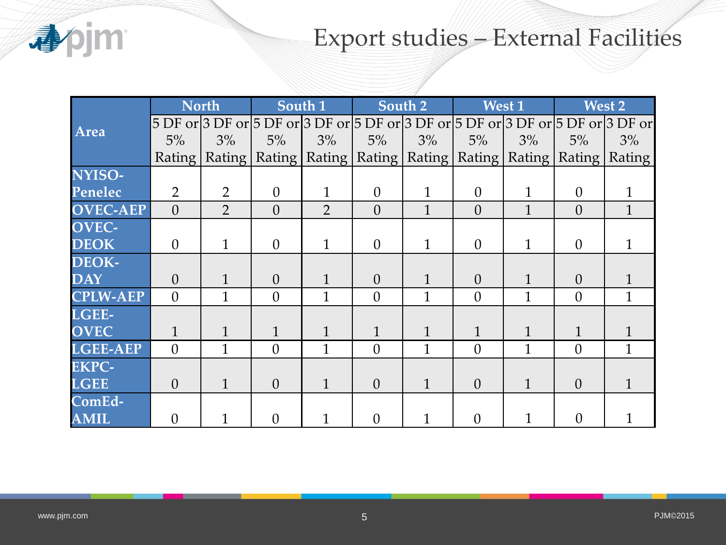

## Export studies – External Facilities

|                           | <b>North</b>   |                | South 1        |                                                                                         | South 2        |              | West 1   |              | West 2   |              |
|---------------------------|----------------|----------------|----------------|-----------------------------------------------------------------------------------------|----------------|--------------|----------|--------------|----------|--------------|
| Area                      |                |                |                | 5 DF or 3 DF or 5 DF or 3 DF or 5 DF or 3 DF or 5 DF or 5 DF or 3 DF or 5 DF or 3 DF or |                |              |          |              |          |              |
|                           | $5\%$          | 3%             | $5\%$          | 3%                                                                                      | $5\%$          | 3%           | $5\%$    | 3%           | $5\%$    | $3\%$        |
|                           |                |                |                | Rating   Rating   Rating   Rating   Rating   Rating   Rating   Rating   Rating   Rating |                |              |          |              |          |              |
| NYISO-                    |                |                |                |                                                                                         |                |              |          |              |          |              |
| <b>Penelec</b>            | $\overline{2}$ | $\overline{2}$ | $\theta$       | $\mathbf{1}$                                                                            | $\overline{0}$ | $\mathbf{1}$ | $\theta$ | 1            | $\theta$ |              |
| <b>OVEC-AEP</b>           | $\theta$       | $\overline{2}$ | $\overline{0}$ | $\overline{2}$                                                                          | $\overline{0}$ | $\mathbf{1}$ | $\theta$ | 1            | $\theta$ | $\mathbf{1}$ |
| $\overline{\text{OVEC-}}$ |                |                |                |                                                                                         |                |              |          |              |          |              |
| <b>DEOK</b>               | $\theta$       | $\mathbf{1}$   | $\theta$       | $\mathbf{1}$                                                                            | $\Omega$       | $\mathbf{1}$ | $\theta$ | $\mathbf{1}$ | $\Omega$ |              |
| DEOK-                     |                |                |                |                                                                                         |                |              |          |              |          |              |
| $\overline{\text{DAY}}$   | $\Omega$       |                | $\overline{0}$ | $\mathbf{1}$                                                                            | $\theta$       | $\mathbf{1}$ | $\theta$ | 1            | $\Omega$ |              |
| <b>CPLW-AEP</b>           | $\theta$       | $\mathbf{1}$   | $\overline{0}$ | 1                                                                                       | $\theta$       | $\mathbf{1}$ | $\theta$ | 1            | $\Omega$ | $\mathbf{1}$ |
| LGEE-                     |                |                |                |                                                                                         |                |              |          |              |          |              |
| $\overline{\text{OVEC}}$  | 1              |                | 1              | $\mathbf{1}$                                                                            | 1              | $\mathbf{1}$ |          | 1            |          |              |
| <b>LGEE-AEP</b>           | $\overline{0}$ | $\mathbf{1}$   | $\overline{0}$ | 1                                                                                       | $\theta$       | $\mathbf{1}$ | $\theta$ | 1            | $\theta$ | $\mathbf{1}$ |
| <b>EKPC-</b>              |                |                |                |                                                                                         |                |              |          |              |          |              |
| $\mathbf{LGEE}$           | $\theta$       | $\mathbf{1}$   | $\theta$       | 1                                                                                       | $\theta$       | 1            | $\Omega$ | 1            | $\Omega$ |              |
| ComEd-                    |                |                |                |                                                                                         |                |              |          |              |          |              |
| <b>AMIL</b>               | $\theta$       |                | $\overline{0}$ |                                                                                         | 0              |              | $\Omega$ |              | $\Omega$ |              |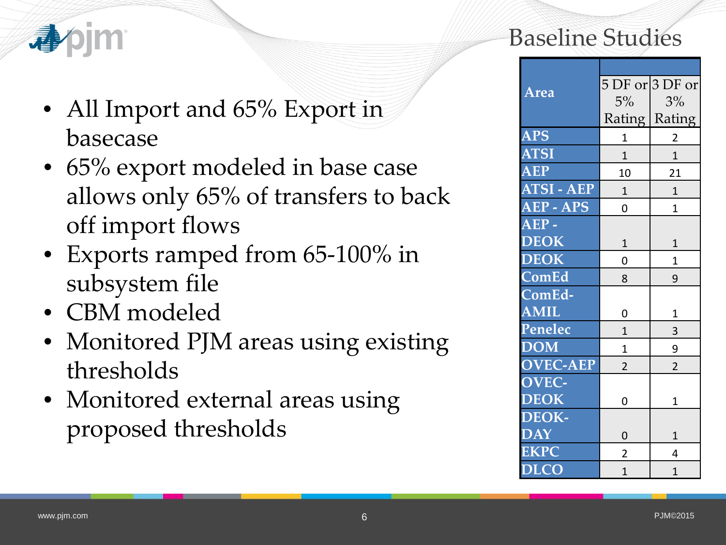

- All Import and 65% Export in basecase
- 65% export modeled in base case allows only 65% of transfers to back off import flows
- Exports ramped from 65-100% in subsystem file
- CBM modeled
- Monitored PJM areas using existing thresholds
- Monitored external areas using proposed thresholds

### Baseline Studies

|                        |                | 5 DF or $3$ DF or |  |  |  |  |
|------------------------|----------------|-------------------|--|--|--|--|
| <u>Area</u>            | $5\%$          | 3%                |  |  |  |  |
|                        |                | Rating   Rating   |  |  |  |  |
| <b>APS</b>             | 1              | 2                 |  |  |  |  |
| <b>ATSI</b>            | $\mathbf{1}$   | $\mathbf{1}$      |  |  |  |  |
| <b>AEP</b>             | 10             | 21                |  |  |  |  |
| <b>ATSI - AEP</b>      | $\mathbf{1}$   | $\mathbf{1}$      |  |  |  |  |
| AEP - APS              | 0              | $\mathbf{1}$      |  |  |  |  |
| $\overline{\bf AEP}$ - |                |                   |  |  |  |  |
| <b>DEOK</b>            | $\mathbf{1}$   | $\mathbf{1}$      |  |  |  |  |
| <b>DEOK</b>            | 0              | $\mathbf{1}$      |  |  |  |  |
| ComEd                  | 8              | 9                 |  |  |  |  |
| ComEd-                 |                |                   |  |  |  |  |
| <b>AMIL</b>            | 0              | $\mathbf{1}$      |  |  |  |  |
| Penelec                | $\mathbf{1}$   | 3                 |  |  |  |  |
| <b>DOM</b>             | $\mathbf 1$    | 9                 |  |  |  |  |
| <b>OVEC-AEP</b>        | $\overline{2}$ | $\overline{2}$    |  |  |  |  |
| OVEC-                  |                |                   |  |  |  |  |
| <b>DEOK</b>            | 0              | 1                 |  |  |  |  |
| DEOK-                  |                |                   |  |  |  |  |
| <b>DAY</b>             | 0              | $\mathbf{1}$      |  |  |  |  |
| <b>EKPC</b>            | $\overline{2}$ | 4                 |  |  |  |  |
| <b>DLCO</b>            | $\overline{1}$ | $\overline{1}$    |  |  |  |  |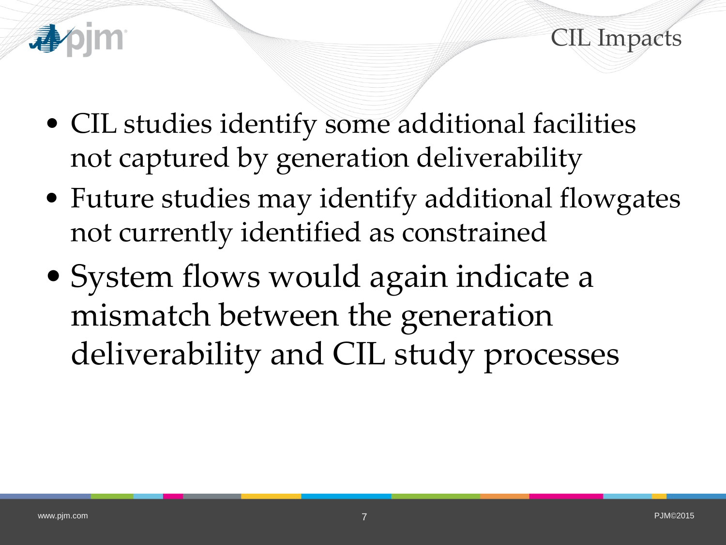

CIL Impacts

- CIL studies identify some additional facilities not captured by generation deliverability
- Future studies may identify additional flowgates not currently identified as constrained
- System flows would again indicate a mismatch between the generation deliverability and CIL study processes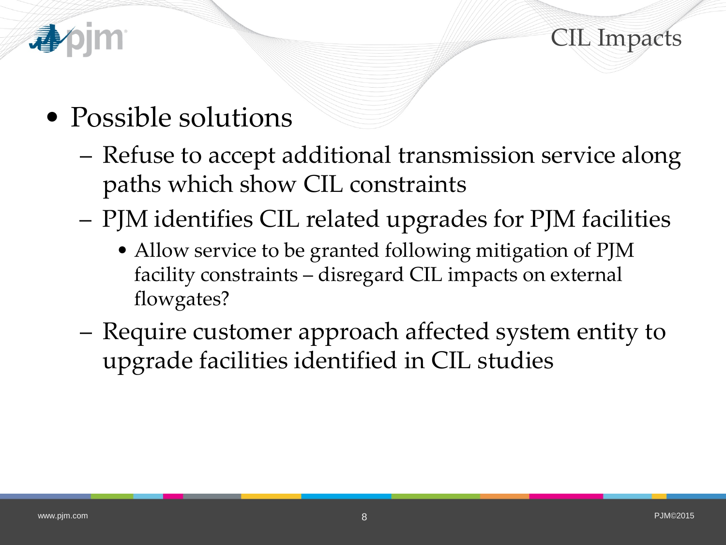



- Possible solutions
	- Refuse to accept additional transmission service along paths which show CIL constraints
	- PJM identifies CIL related upgrades for PJM facilities
		- Allow service to be granted following mitigation of PJM facility constraints – disregard CIL impacts on external flowgates?
	- Require customer approach affected system entity to upgrade facilities identified in CIL studies